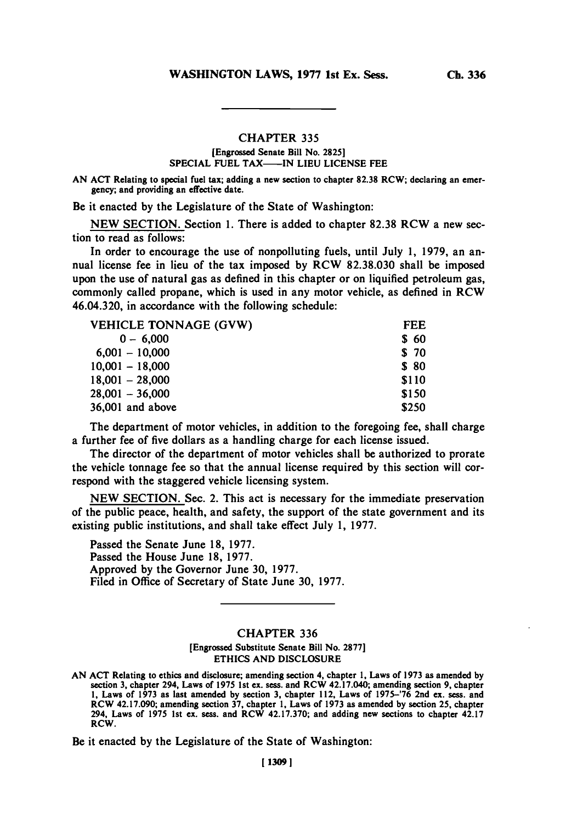# **CHAPTER 335**

# (Engrossed Senate Bill No. **2825] SPECIAL FUEL TAX--IN LIEU LICENSE FEE**

**AN ACT** Relating to special fuel tax; adding a new section to chapter **82.38** RCW; declaring an emergency; and providing an effective date.

Be it enacted **by** the Legislature of the State of Washington:

**NEW** SECTION. Section **1.** There is added to chapter **82.38** RCW a new section to read as follows:

In order to encourage the use of nonpolluting fuels, until July **1, 1979,** an annual license fee in lieu of the tax imposed **by** RCW **82.38.030** shall be imposed upon the use of natural gas as defined in this chapter or on liquified petroleum gas, commonly called propane, which is used in any motor vehicle, as defined in RCW 46.04.320, in accordance with the following schedule:

| <b>VEHICLE TONNAGE (GVW)</b> | <b>FEE</b> |
|------------------------------|------------|
| $0 - 6.000$                  | \$60       |
| $6,001 - 10,000$             | \$ 70      |
| $10,001 - 18,000$            | \$ 80      |
| $18,001 - 28,000$            | \$110      |
| $28,001 - 36,000$            | \$150      |
| 36,001 and above             | \$250      |

The department of motor vehicles, in addition to the foregoing fee, shall charge a further fee of five dollars as a handling charge for each license issued.

The director of the department of motor vehicles shall be authorized to prorate the vehicle tonnage fee so that the annual license required **by** this section will correspond with the staggered vehicle licensing system.

**NEW** SECTION. Sec. 2. This act is necessary for the immediate preservation of the public peace, health, and safety, the support of the state government and its existing public institutions, and shall take effect July **1, 1977.**

Passed the Senate June **18, 1977.** Passed the House June **18, 1977.** Approved **by** the Governor June **30, 1977.** Filed in Office of Secretary of State June **30, 1977.**

# CHAPTER **336**

### [Engrossed Substitute Senate Bill No. **2877]** ETHICS **AND DISCLOSURE**

Be it enacted **by** the Legislature of the State of Washington:

**AN ACT** Relating to ethics and disclosure; amending section 4, chapter **1,** Laws of **1973** as amended **by** section **3,** chapter 294, Laws of **1975** 1st ex. sess. and RCW 42.17.040; amending section **9,** chapter **1,** Laws of **1973** as last amended **by** section **3,** chapter 112, Laws of **1975-'76** 2nd ex. sess. and RCW 42.17.090; amending **section 37,** chapter **1,** Laws of **1973** as amended **by** section **25,** chapter 294, Laws of **1975** 1st ex. sess. and RCW **42.17.370;** and adding new sections to chapter 42.17 RCW.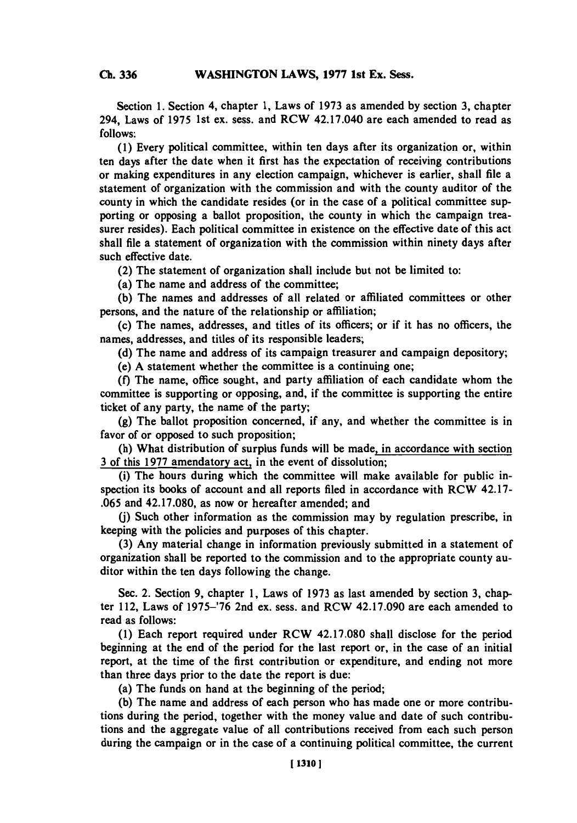Section **1.** Section 4, chapter **1,** Laws of **1973** as amended **by** section **3,** chapter 294, Laws of **1975** 1st ex. sess. and RCW 42.17.040 are each amended to read as **follows:**

**(1)** Every political committee, within ten days after its organization or, within ten days after the date when it first has the expectation of receiving contributions or making expenditures in any election campaign, whichever is earlier, shall file a statement of organization with the commission and with the county auditor of the county in which the candidate resides (or in the case of a political committee supporting or opposing a ballot proposition, the county in which the campaign treasurer resides). Each political committee in existence on the effective date of this act shall file a statement of organization with the commission within ninety days after such effective date.

(2) The statement of organization shall include but not be limited to:

(a) The name and address of the committee;

**(b)** The names and addresses of all related or affiliated committees or other persons, and the nature of the relationship or affiliation;

(c) The names, addresses, and titles of its officers; or if it has no officers, the names, addresses, and titles of its responsible leaders;

**(d)** The name and address of its campaign treasurer and campaign depository;

(e) **A** statement whether the committee is a continuing one;

**(f)** The name, office sought, and party affiliation of each candidate whom the committee is supporting or opposing, and, if the committee is supporting the entire ticket of any party, the name of the party;

**(g)** The ballot proposition concerned, if any, and whether the committee is in favor of or opposed to such proposition;

(h) What distribution of surplus funds will be made, in accordance with section **3** of this **1977** amendatory act, in the event of dissolution;

(i) The hours during which the committee will make available for public inspection its books of account and all reports filed in accordance with RCW 42.17- **.065** and **42.17.080,** as now or hereafter amended; and

**(j)** Such other information as the commission may **by** regulation prescribe, in keeping with the policies and purposes of this chapter.

**(3)** Any material change in information previously submitted in a statement of organization shall be reported to the commission and to the appropriate county auditor within the ten days following the change.

Sec. 2. Section **9,** chapter **1,** Laws of **1973** as last amended **by** section **3,** chapter 112, Laws of **1975-'76** 2nd ex. sess. and RCW 42.17.090 are each amended to read as follows:

**(1)** Each report required under RCW **42.17.080** shall disclose for the period beginning at the end of the period for the last report or, in the case of an initial report, at the time of the first contribution or expenditure, and ending not more than three days prior to the date the report is due:

(a) The funds on hand at the beginning of the period;

**(b)** The name and address of each person who has made one or more contributions during the period, together with the money value and date of such contributions and the aggregate value of all contributions received from each such person during the campaign or in the case of a continuing political committee, the current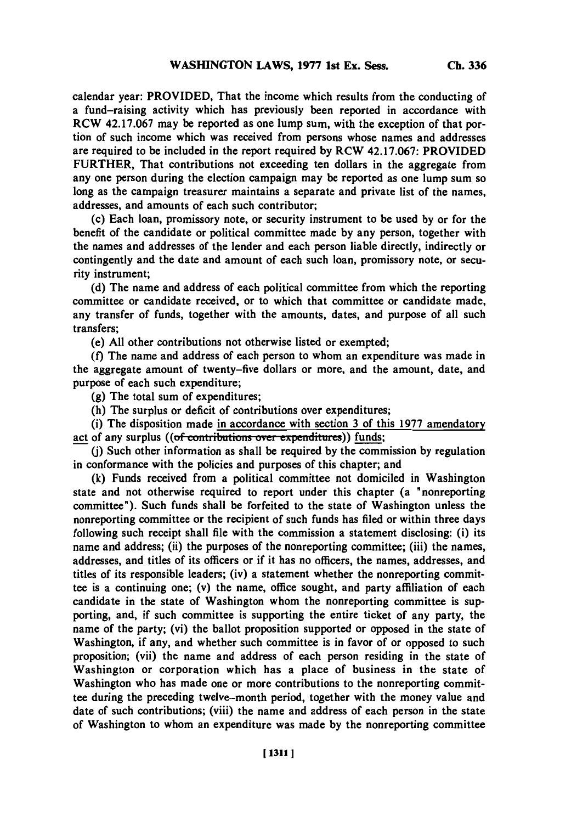calendar year: PROVIDED, That the income which results from the conducting of a fund-raising activity which has previously been reported in accordance with RCW **42.17.067** may be reported as one lump sum, with the exception of that portion of such income which was received from persons whose names and addresses are required to be included in the report required **by** RCW **42.17.067:** PROVIDED FURTHER, That contributions not exceeding ten dollars in the aggregate from any one person during the election campaign may be reported as one lump sum so long as the campaign treasurer maintains a separate and private list of the names, addresses, and amounts of each such contributor;

(c) Each loan, promissory note, or security instrument to be used **by** or for the benefit of the candidate or political committee made **by** any person, together with the names and addresses of the lender and each person liable directly, indirectly or contingently and the date and amount of each such loan, promissory note, or security instrument;

**(d)** The name and address of each political committee from which the reporting committee or candidate received, or to which that committee or candidate made, any transfer of funds, together with the amounts, dates, and purpose of all such transfers;

(e) **All** other contributions not otherwise listed or exempted;

**(f)** The name and address of each person to whom an expenditure was made in the aggregate amount of twenty-five dollars or more, and the amount, date, and purpose of each such expenditure;

**(g)** The total sum of expenditures;

(h) The surplus or deficit of contributions over expenditures;

(i) The disposition made in accordance with section **3** of this **1977** amendatory act of any surplus ((of contributions over expenditures)) funds;

**(I)** Such other information as shall be required **by** the commission **by** regulation in conformance with the policies and purposes of this chapter; and

**(k)** Funds received from a political committee not domiciled in Washington state and not otherwise required to report under this chapter (a "nonreporting committee"). Such funds shall be forfeited to the state of Washington unless the nonreporting committee or the recipient of such funds has filed or within three days following such receipt shall file with the commission a statement disclosing: (i) its name and address; (ii) the purposes of the nonreporting committee; (iii) the names, addresses, and titles of its officers or if it has no officers, the names, addresses, and titles of its responsible leaders; (iv) a statement whether the nonreporting committee is a continuing one; (v) the name, office sought, and party affiliation of each candidate in the state of Washington whom the nonreporting committee is supporting, and, if such committee is supporting the entire ticket of any party, the name of the party; (vi) the ballot proposition supported or opposed in the state of Washington, if any, and whether such committee is in favor of or opposed to such proposition; (vii) the name and address of each person residing in the state of Washington or corporation which has a place of business in the state of Washington who has made one or more contributions to the nonreporting committee during the preceding twelve-month period, together with the money value and date of such contributions; (viii) the name and address of each person in the state of Washington to whom an expenditure was made **by** the nonreporting committee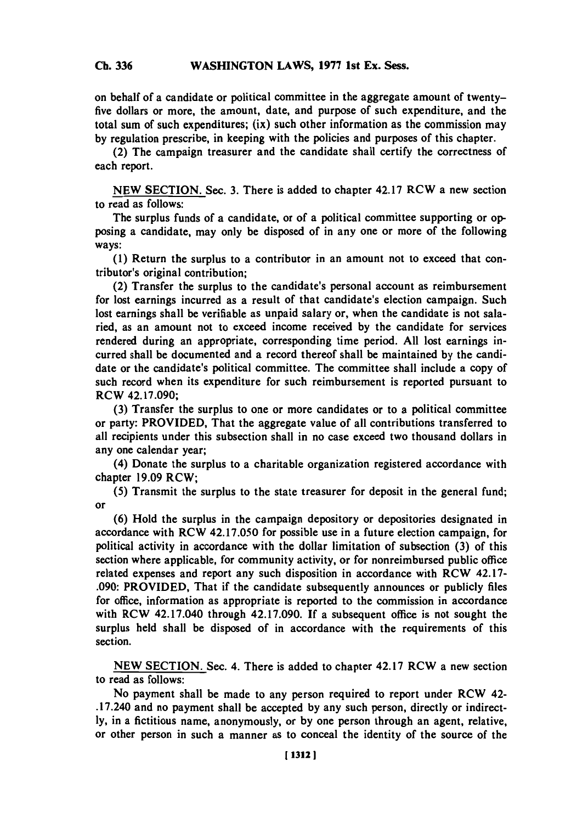#### **Ch 336WASHINGTON LAWS, 1977 1st Ex. Sess. Ch. 336**

on behalf of a candidate or political committee in the aggregate amount of twentyfive dollars or more, the amount, date, and purpose of such expenditure, and the total sum of such expenditures; (ix) such other information as the commission may **by** regulation prescribe, in keeping with the policies and purposes of this chapter.

(2) The campaign treasurer and the candidate shall certify the correctness of each report.

**NEW** SECTION. Sec. **3.** There is added to chapter 42.17 RCW a new section to read as follows:

The surplus funds of a candidate, or of a political committee supporting or opposing a candidate, may only be disposed of in any one or more of the following ways:

**(1)** Return the surplus to a contributor in an amount not to exceed that contributor's original contribution;

(2) Transfer the surplus to the candidate's personal account as reimbursement for lost earnings incurred as a result of that candidate's election campaign. Such lost earnings shall be verifiable as unpaid salary or, when the candidate is not salaried, as an amount not to exceed income received **by** the candidate for services rendered during an appropriate, corresponding time period. **All** lost earnings incurred shall be documented and a record thereof shall be maintained **by** the candidate or the candidate's political committee. The committee shall include a **copy** of such record when its expenditure for such reimbursement is reported pursuant to RCW 42.17.090;

**(3)** Transfer the surplus to one or more candidates or to a political committee or party: PROVIDED, That the aggregate value of all contributions transferred to all recipients under this subsection shall in no case exceed two thousand dollars in any one calendar year;

(4) Donate the surplus to a charitable organization registered accordance with chapter **19.09** RCW;

**(5)** Transmit the surplus to the state treasurer for deposit in the general fund; or

**(6)** Hold the surplus in the campaign depository or depositories designated in accordance with RCW 42.17.050 for possible use in a future election campaign, for political activity in accordance with the dollar limitation of subsection **(3)** of this section where applicable, for community activity, or for nonreimbursed public office related expenses and report any such disposition in accordance with RCW 42.17- **.090:** PROVIDED, That if the candidate subsequently announces or publicly files for office, information as appropriate is reported to the commission in accordance with RCW 42.17.040 through 42.17.090. **If** a subsequent office is not sought the surplus held shall be disposed of in accordance with the requirements of this section.

**NEW** SECTION. Sec. 4. There is added to chapter 42.17 RCW a new section to read as follows:

No payment shall be made to any person required to report under RCW 42- .17.240 and no payment shall be accepted **by** any such person, directly or indirect**ly,** in a fictitious name, anonymously, or **by** one person through an agent, relative, or other person in such a manner as to conceal the identity of the source of the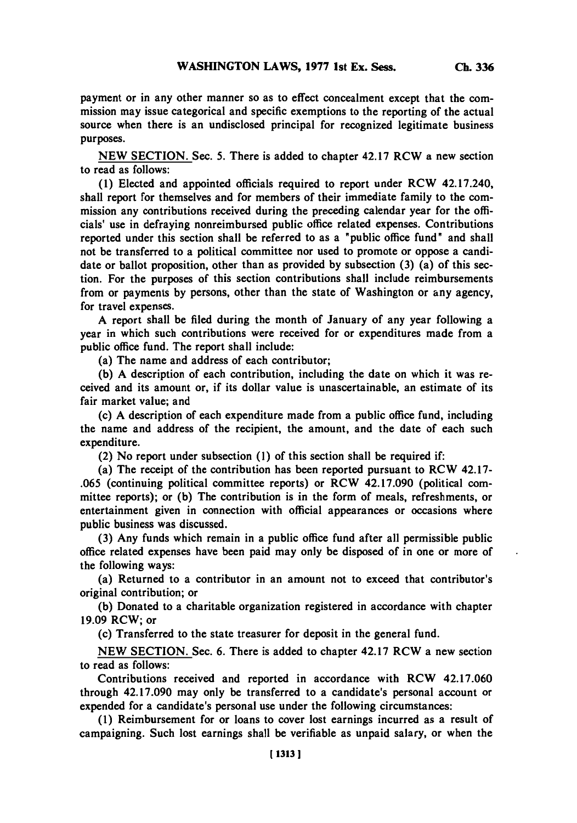payment or in any other manner so as to effect concealment except that the commission may issue categorical and specific exemptions to the reporting of the actual source when there is an undisclosed principal for recognized legitimate business purposes.

**NEW SECTION.** Sec. **5.** There is added to chapter 42.17 RCW a new section to read as follows:

**(1)** Elected and appointed officials required to report under RCW 42.17.240, shall report for themselves and for members of their immediate family to the commission any contributions received during the preceding calendar year for the officials' use in defraying nonreimbursed public office related expenses. Contributions reported under this section shall be referred to as a "public office fund" and shall not be transferred to a political committee nor used to promote or oppose a candidate or ballot proposition, other than as provided **by** subsection **(3)** (a) of this section. For the purposes of this section contributions shall include reimbursements from or payments **by** persons, other than the state of Washington or any agency, for travel expenses.

**A** report shall be filed during the month of January of any year following a year in which such contributions were received for or expenditures made from a public office fund. The report shall include:

(a) The name and address of each contributor;

**(b) A** description of each contribution, including the date on which it was received and its amount or, if its dollar value is unascertainable, an estimate of its fair market value; and

(c) **A** description of each expenditure made from a public office fund, including the name and address of the recipient, the amount, and the date of each such expenditure.

(2) No report under subsection **(1)** of this section shall be required if:

(a) The receipt of the contribution has been reported pursuant to RCW 42.17- **.065** (continuing political committee reports) or RCW 42.17.090 (political committee reports); or **(b)** The contribution is in the form of meals, refreshments, or entertainment given in connection with official appearances or occasions where public business was discussed.

**(3)** Any funds which remain in a public office fund after all permissible public office related expenses have been paid may only be disposed of in one or more of the following ways:

(a) Returned to a contributor in an amount not to exceed that contributor's original contribution; or

**(b)** Donated to a charitable organization registered in accordance with chapter **19.09** RCW; or

(c) Transferred to the state treasurer for deposit in the general fund.

**NEW** SECTION. Sec. **6.** There is added to chapter 42.17 RCW a new section to read as follows:

Contributions received and reported in accordance with RCW 42.17.060 through 42.17.090 may only be transferred to a candidate's personal account or expended for a candidate's personal use under the following circumstances:

**(1)** Reimbursement for or loans to cover lost earnings incurred as a result of campaigning. Such lost earnings shall be verifiable as unpaid salary, or when the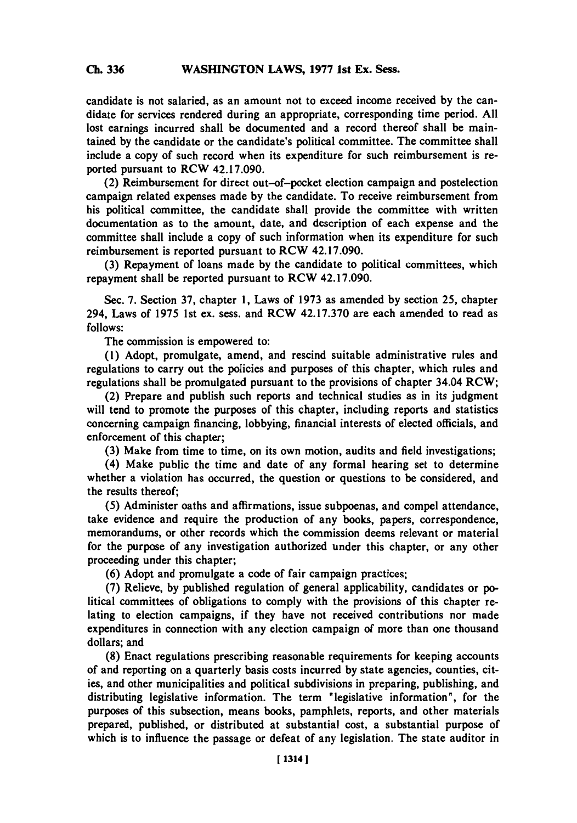candidate is not salaried, as an amount not to exceed income received **by** the candidate for services rendered during an appropriate, corresponding time period. **All** lost earnings incurred shall be documented and a record thereof shall be maintained **by** the candidate or the candidate's political committee. The committee shall include a copy of such record when its expenditure for such reimbursement is reported pursuant to RCW 42.17.090.

(2) Reimbursement for direct out-of-pocket election campaign and postelection campaign related expenses made **by** the candidate. To receive reimbursement from his political committee, the candidate shall provide the committee with written documentation as to the amount, date, and description of each expense and the committee shall include a copy of such information when its expenditure for such reimbursement is reported pursuant to RCW 42.17.090.

**(3)** Repayment of loans made **by** the candidate to political committees, which repayment shall be reported pursuant to RCW 42.17.090.

Sec. **7.** Section **37,** chapter **1,** Laws of **1973** as amended **by** section *25,* chapter 294, Laws of **1975** 1st ex. sess. and RCW **42.17.370** are each amended to read as **follows:**

The commission is empowered to:

**(1)** Adopt, promulgate, amend, and rescind suitable administrative rules and regulations to carry out the policies and purposes of this chapter, which rules and regulations shall be promulgated pursuant to the provisions of chapter 34.04 RCW;

(2) Prepare and publish such reports and technical studies as in its judgment will tend to promote the purposes of this chapter, including reports and statistics concerning campaign financing, lobbying, financial interests of elected officials, and enforcement of this chapter;

**(3)** Make from time to time, on its own motion, audits and field investigations;

(4) Make public the time and date of any formal hearing set to determine whether a violation has occurred, the question or questions to be considered, and the results thereof;

**(5)** Administer oaths and affirmations, issue subpoenas, and compel attendance, take evidence and require the production of any books, papers, correspondence, memorandums, or other records which the commission deems relevant or material for the purpose of any investigation authorized under this chapter, or any other proceeding under this chapter;

**(6)** Adopt and promulgate a code of fair campaign practices;

**(7)** Relieve, **by** published regulation of general applicability, candidates or **po**litical committees of obligations to comply with the provisions of this chapter relating to election campaigns, if they have not received contributions nor made expenditures in connection with any election campaign of more than one thousand dollars; and

**(8)** Enact regulations prescribing reasonable requirements for keeping accounts of and reporting on a quarterly basis costs incurred **by** state agencies, counties, cities, and other municipalities and political subdivisions in preparing, publishing, and distributing legislative information. The term "legislative information", for the purposes of this subsection, means books, pamphlets, reports, and other materials prepared, published, or distributed at substantial cost, a substantial purpose of which is to influence the passage or defeat of any legislation. The state auditor in